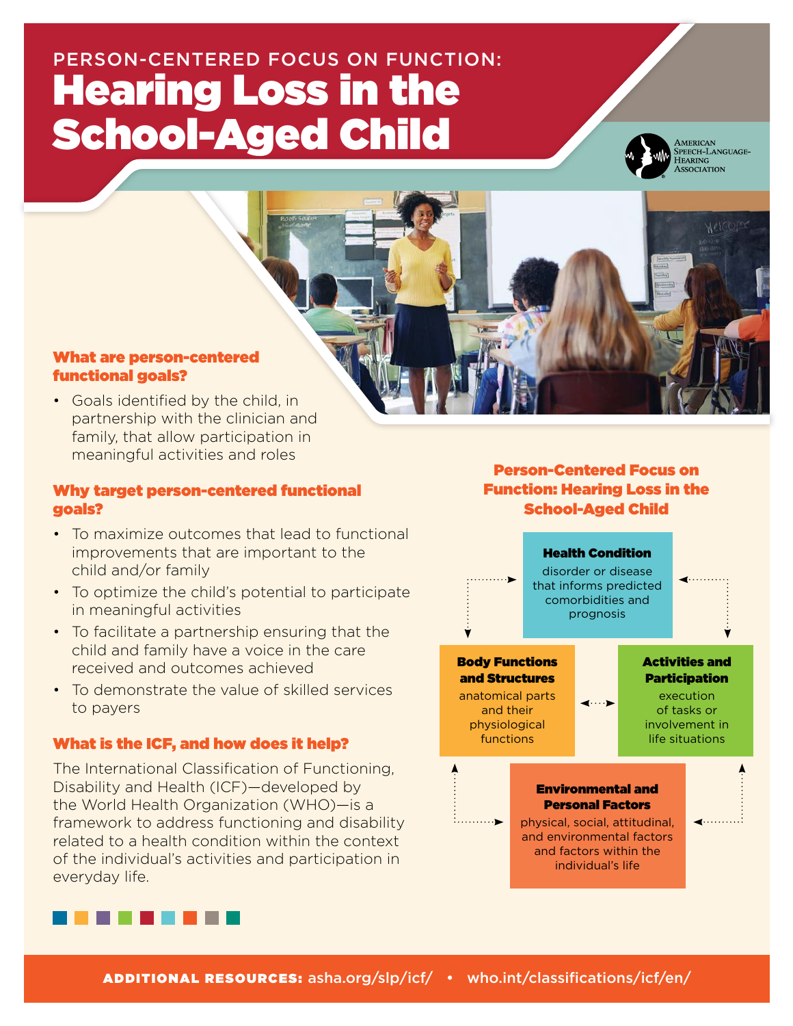# PERSON-CENTERED FOCUS ON FUNCTION: Hearing Loss in the School-Aged Child



AMERICAN<br>SPEECH-LANGUAGE-HEARING<br>ASSOCIATION

### What are person-centered functional goals?

• Goals identified by the child, in partnership with the clinician and family, that allow participation in meaningful activities and roles

#### Why target person-centered functional goals?

- To maximize outcomes that lead to functional improvements that are important to the child and/or family
- To optimize the child's potential to participate in meaningful activities
- To facilitate a partnership ensuring that the child and family have a voice in the care received and outcomes achieved
- To demonstrate the value of skilled services to payers

## What is the ICF, and how does it help?

The International Classification of Functioning, Disability and Health (ICF)—developed by the World Health Organization (WHO)—is a framework to address functioning and disability related to a health condition within the context of the individual's activities and participation in everyday life.



## Person-Centered Focus on Function: Hearing Loss in the School-Aged Child